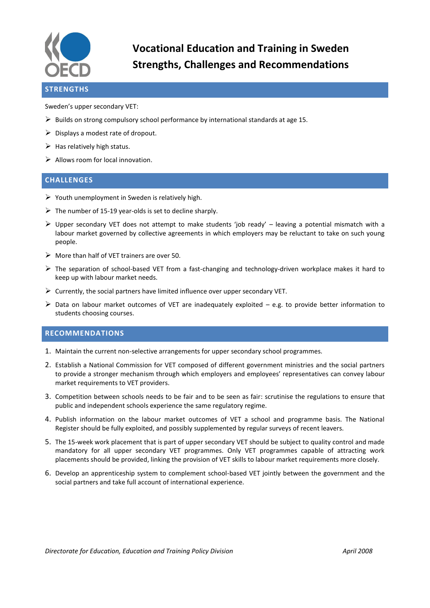

**Vocational Education and Training in Sweden Strengths, Challenges and Recommendations**

## **STRENGTHS**

Sweden's upper secondary VET:

- $\triangleright$  Builds on strong compulsory school performance by international standards at age 15.
- $\triangleright$  Displays a modest rate of dropout.
- $\triangleright$  Has relatively high status.
- $\triangleright$  Allows room for local innovation.

## **CHALLENGES**

- $\triangleright$  Youth unemployment in Sweden is relatively high.
- $\triangleright$  The number of 15-19 year-olds is set to decline sharply.
- $\triangleright$  Upper secondary VET does not attempt to make students 'job ready' leaving a potential mismatch with a labour market governed by collective agreements in which employers may be reluctant to take on such young people.
- $\triangleright$  More than half of VET trainers are over 50.
- $\triangleright$  The separation of school-based VET from a fast-changing and technology-driven workplace makes it hard to keep up with labour market needs.
- $\triangleright$  Currently, the social partners have limited influence over upper secondary VET.
- $\triangleright$  Data on labour market outcomes of VET are inadequately exploited e.g. to provide better information to students choosing courses.

## **RECOMMENDATIONS**

- 1. Maintain the current non-selective arrangements for upper secondary school programmes.
- 2. Establish a National Commission for VET composed of different government ministries and the social partners to provide a stronger mechanism through which employers and employees' representatives can convey labour market requirements to VET providers.
- 3. Competition between schools needs to be fair and to be seen as fair: scrutinise the regulations to ensure that public and independent schools experience the same regulatory regime.
- 4. Publish information on the labour market outcomes of VET a school and programme basis. The National Register should be fully exploited, and possibly supplemented by regular surveys of recent leavers.
- 5. The 15-week work placement that is part of upper secondary VET should be subject to quality control and made mandatory for all upper secondary VET programmes. Only VET programmes capable of attracting work placements should be provided, linking the provision of VET skills to labour market requirements more closely.
- 6. Develop an apprenticeship system to complement school-based VET jointly between the government and the social partners and take full account of international experience.